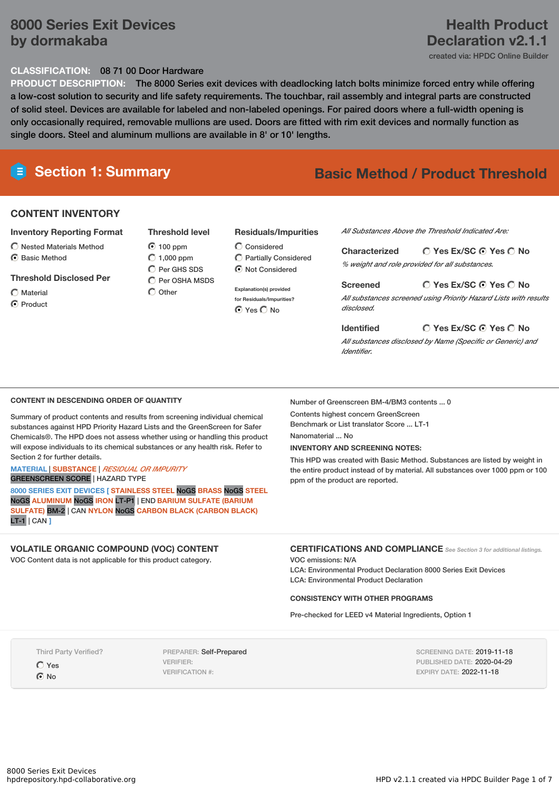## **8000 Series Exit Devices by dormakaba**

### **CLASSIFICATION:** 08 71 00 Door Hardware

**PRODUCT DESCRIPTION:** The 8000 Series exit devices with deadlocking latch bolts minimize forced entry while offering a low-cost solution to security and life safety requirements. The touchbar, rail assembly and integral parts are constructed of solid steel. Devices are available for labeled and non-labeled openings. For paired doors where a full-width opening is only occasionally required, removable mullions are used. Doors are fitted with rim exit devices and normally function as single doors. Steel and aluminum mullions are available in 8' or 10' lengths.

# **Section 1: Summary Basic Method / Product Threshold**

## **CONTENT INVENTORY**

- **Inventory Reporting Format**
- Nested Materials Method
- **G** Basic Method

#### **Threshold Disclosed Per**

 $\bigcap$  Material

C Product

**Threshold level**  $\bigcirc$  100 ppm  $O$  1,000 ppm

 $O$  Per GHS SDS  $\bigcap$  Per OSHA MSDS  $\bigcap$  Other

## **Residuals/Impurities**

Considered Partially Considered  $\odot$  Not Considered

**Explanation(s) provided for Residuals/Impurities?**  $O$  Yes  $O$  No

*All Substances Above the Threshold Indicated Are:*

**Yes Ex/SC Yes No Characterized** *% weight and role provided for all substances.*

**Yes Ex/SC Yes No Screened** *All substances screened using Priority Hazard Lists with results disclosed.*

**Yes Ex/SC Yes No Identified** *All substances disclosed by Name (Specific or Generic) and Identifier.*

### **CONTENT IN DESCENDING ORDER OF QUANTITY**

Summary of product contents and results from screening individual chemical substances against HPD Priority Hazard Lists and the GreenScreen for Safer Chemicals®. The HPD does not assess whether using or handling this product will expose individuals to its chemical substances or any health risk. Refer to Section 2 for further details.

#### **MATERIAL** | **SUBSTANCE** | *RESIDUAL OR IMPURITY* GREENSCREEN SCORE | HAZARD TYPE

**8000 SERIES EXIT DEVICES [ STAINLESS STEEL** NoGS **BRASS** NoGS **STEEL** NoGS **ALUMINUM** NoGS **IRON** LT-P1 | END **BARIUM SULFATE (BARIUM SULFATE)** BM-2 | CAN **NYLON** NoGS **CARBON BLACK (CARBON BLACK)** LT-1 | CAN **]**

## **VOLATILE ORGANIC COMPOUND (VOC) CONTENT**

VOC Content data is not applicable for this product category.

Number of Greenscreen BM-4/BM3 contents ... 0

Contents highest concern GreenScreen

Benchmark or List translator Score ... LT-1

Nanomaterial ... No

#### **INVENTORY AND SCREENING NOTES:**

This HPD was created with Basic Method. Substances are listed by weight in the entire product instead of by material. All substances over 1000 ppm or 100 ppm of the product are reported.

**CERTIFICATIONS AND COMPLIANCE** *See Section <sup>3</sup> for additional listings.*

VOC emissions: N/A LCA: Environmental Product Declaration 8000 Series Exit Devices LCA: Environmental Product Declaration

#### **CONSISTENCY WITH OTHER PROGRAMS**

Pre-checked for LEED v4 Material Ingredients, Option 1

Third Party Verified?

Yes  $\odot$  No

PREPARER: Self-Prepared VERIFIER: VERIFICATION #:

SCREENING DATE: 2019-11-18 PUBLISHED DATE: 2020-04-29 EXPIRY DATE: 2022-11-18

# **Health Product Declaration v2.1.1**

created via: HPDC Online Builder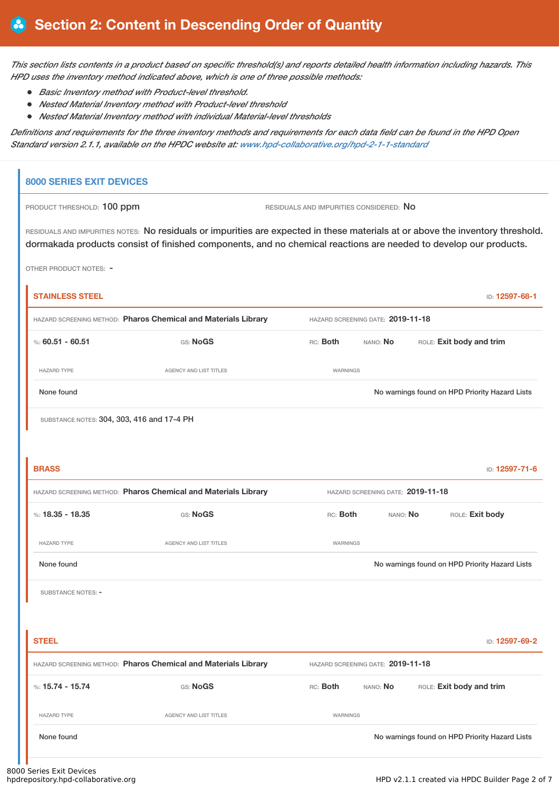This section lists contents in a product based on specific threshold(s) and reports detailed health information including hazards. This *HPD uses the inventory method indicated above, which is one of three possible methods:*

- *Basic Inventory method with Product-level threshold.*
- *Nested Material Inventory method with Product-level threshold*
- *Nested Material Inventory method with individual Material-level thresholds*

Definitions and requirements for the three inventory methods and requirements for each data field can be found in the HPD Open *Standard version 2.1.1, available on the HPDC website at: [www.hpd-collaborative.org/hpd-2-1-1-standard](https://www.hpd-collaborative.org/hpd-2-1-1-standard)*

## **8000 SERIES EXIT DEVICES**

PRODUCT THRESHOLD: 100 ppm **RESIDUALS AND IMPURITIES CONSIDERED:** No

RESIDUALS AND IMPURITIES NOTES: No residuals or impurities are expected in these materials at or above the inventory threshold. dormakada products consist of finished components, and no chemical reactions are needed to develop our products.

OTHER PRODUCT NOTES: -

| <b>STAINLESS STEEL</b>                                                                              |                                                                |          |                                   |  | ID: 12597-68-1                                 |
|-----------------------------------------------------------------------------------------------------|----------------------------------------------------------------|----------|-----------------------------------|--|------------------------------------------------|
| HAZARD SCREENING METHOD: Pharos Chemical and Materials Library                                      | HAZARD SCREENING DATE: 2019-11-18                              |          |                                   |  |                                                |
| %: $60.51 - 60.51$                                                                                  | GS: NoGS                                                       | RC: Both | ROLE: Exit body and trim          |  |                                                |
| <b>HAZARD TYPE</b>                                                                                  | <b>AGENCY AND LIST TITLES</b>                                  | WARNINGS |                                   |  |                                                |
| None found                                                                                          |                                                                |          |                                   |  | No warnings found on HPD Priority Hazard Lists |
| SUBSTANCE NOTES: 304, 303, 416 and 17-4 PH                                                          |                                                                |          |                                   |  |                                                |
|                                                                                                     |                                                                |          |                                   |  |                                                |
| <b>BRASS</b>                                                                                        |                                                                |          |                                   |  | ID: 12597-71-6                                 |
| HAZARD SCREENING METHOD: Pharos Chemical and Materials Library<br>HAZARD SCREENING DATE: 2019-11-18 |                                                                |          |                                   |  |                                                |
| %: 18.35 - 18.35                                                                                    | GS: NoGS                                                       | RC: Both | NANO: No                          |  | ROLE: Exit body                                |
| <b>HAZARD TYPE</b>                                                                                  | AGENCY AND LIST TITLES                                         | WARNINGS |                                   |  |                                                |
| None found                                                                                          |                                                                |          |                                   |  | No warnings found on HPD Priority Hazard Lists |
| SUBSTANCE NOTES: -                                                                                  |                                                                |          |                                   |  |                                                |
|                                                                                                     |                                                                |          |                                   |  |                                                |
| <b>STEEL</b>                                                                                        |                                                                |          |                                   |  | ID: 12597-69-2                                 |
|                                                                                                     | HAZARD SCREENING METHOD: Pharos Chemical and Materials Library |          | HAZARD SCREENING DATE: 2019-11-18 |  |                                                |
| %: $15.74 - 15.74$                                                                                  | GS: NoGS                                                       | RC: Both | NANO: No                          |  | ROLE: Exit body and trim                       |
| <b>HAZARD TYPE</b>                                                                                  | AGENCY AND LIST TITLES                                         | WARNINGS |                                   |  |                                                |
| None found                                                                                          |                                                                |          |                                   |  | No warnings found on HPD Priority Hazard Lists |
|                                                                                                     |                                                                |          |                                   |  |                                                |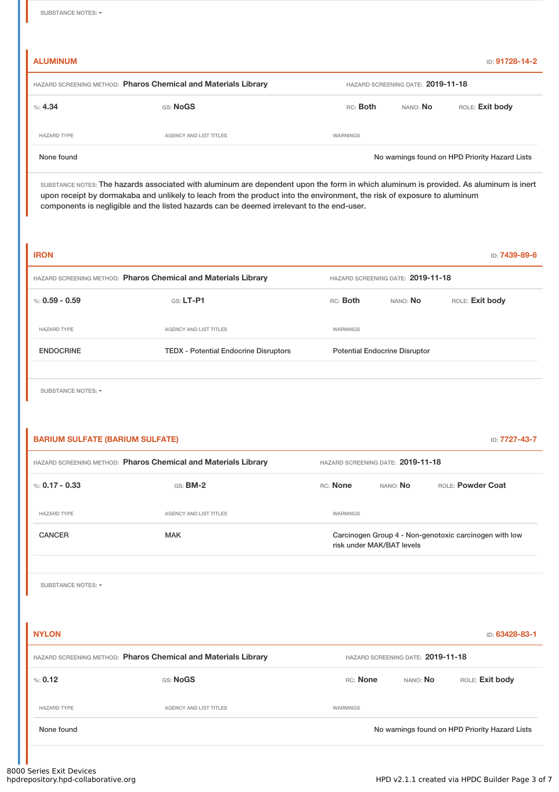**ALUMINUM** ID: **91728-14-2**

| HAZARD SCREENING METHOD: Pharos Chemical and Materials Library |                        |          | HAZARD SCREENING DATE: 2019-11-18 |                                                |  |  |  |  |
|----------------------------------------------------------------|------------------------|----------|-----------------------------------|------------------------------------------------|--|--|--|--|
| %: 4.34                                                        | <b>GS: NoGS</b>        | RC: Both | nano: <b>No</b>                   | ROLE: Exit body                                |  |  |  |  |
| <b>HAZARD TYPE</b>                                             | AGENCY AND LIST TITLES | WARNINGS |                                   |                                                |  |  |  |  |
| None found                                                     |                        |          |                                   | No warnings found on HPD Priority Hazard Lists |  |  |  |  |

SUBSTANCE NOTES: The hazards associated with aluminum are dependent upon the form in which aluminum is provided. As aluminum is inert upon receipt by dormakaba and unlikely to leach from the product into the environment, the risk of exposure to aluminum components is negligible and the listed hazards can be deemed irrelevant to the end-user.

| <b>IRON</b>                                                    |                                              |                                   |                                      | ID: <b>7439-89-6</b> |  |
|----------------------------------------------------------------|----------------------------------------------|-----------------------------------|--------------------------------------|----------------------|--|
| HAZARD SCREENING METHOD: Pharos Chemical and Materials Library |                                              | HAZARD SCREENING DATE: 2019-11-18 |                                      |                      |  |
| %: $0.59 - 0.59$                                               | $GS: LT-P1$                                  | RC: Both                          | NANO: No                             | ROLE: Exit body      |  |
| <b>HAZARD TYPE</b>                                             | <b>AGENCY AND LIST TITLES</b>                | WARNINGS                          |                                      |                      |  |
| <b>ENDOCRINE</b>                                               | <b>TEDX - Potential Endocrine Disruptors</b> |                                   | <b>Potential Endocrine Disruptor</b> |                      |  |
|                                                                |                                              |                                   |                                      |                      |  |

SUBSTANCE NOTES: -

| <b>BARIUM SULFATE (BARIUM SULFATE)</b>                         |                                                                |                                                                                     |          |                   | ID: 7727-43-7                                  |  |  |
|----------------------------------------------------------------|----------------------------------------------------------------|-------------------------------------------------------------------------------------|----------|-------------------|------------------------------------------------|--|--|
| HAZARD SCREENING METHOD: Pharos Chemical and Materials Library |                                                                | HAZARD SCREENING DATE: 2019-11-18                                                   |          |                   |                                                |  |  |
| %: $0.17 - 0.33$                                               | <b>GS: BM-2</b>                                                | RC: None                                                                            | NANO: No | ROLE: Powder Coat |                                                |  |  |
| <b>HAZARD TYPE</b>                                             | <b>AGENCY AND LIST TITLES</b>                                  | <b>WARNINGS</b>                                                                     |          |                   |                                                |  |  |
| <b>CANCER</b>                                                  | <b>MAK</b>                                                     | Carcinogen Group 4 - Non-genotoxic carcinogen with low<br>risk under MAK/BAT levels |          |                   |                                                |  |  |
| <b>SUBSTANCE NOTES: -</b>                                      |                                                                |                                                                                     |          |                   |                                                |  |  |
| <b>NYLON</b>                                                   |                                                                |                                                                                     |          |                   | ID: 63428-83-1                                 |  |  |
|                                                                | HAZARD SCREENING METHOD: Pharos Chemical and Materials Library | HAZARD SCREENING DATE: 2019-11-18                                                   |          |                   |                                                |  |  |
| % 0.12                                                         | GS: NoGS                                                       | RC: None                                                                            | NANO: No |                   | ROLE: Exit body                                |  |  |
| <b>HAZARD TYPE</b>                                             | <b>AGENCY AND LIST TITLES</b>                                  | <b>WARNINGS</b>                                                                     |          |                   |                                                |  |  |
| None found                                                     |                                                                |                                                                                     |          |                   | No warnings found on HPD Priority Hazard Lists |  |  |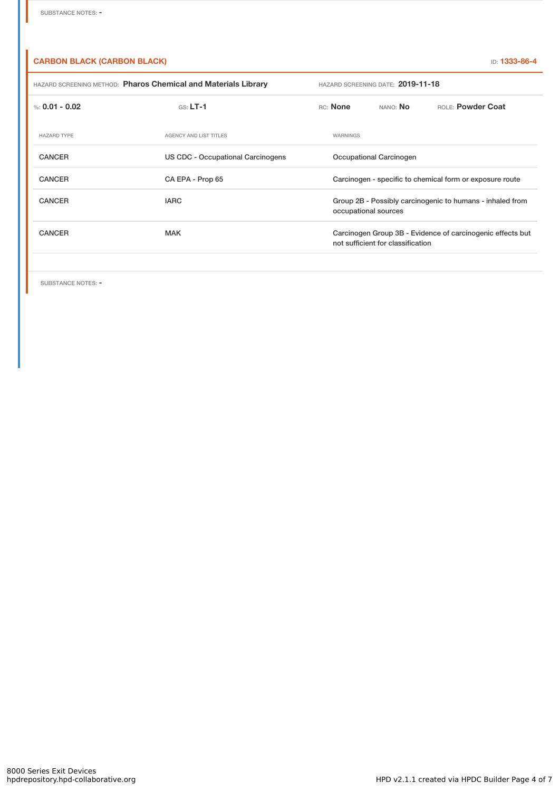### **CARBON BLACK (CARBON BLACK)** ID: **1333-86-4**

| HAZARD SCREENING METHOD: Pharos Chemical and Materials Library |                                   | HAZARD SCREENING DATE: 2019-11-18                                                               |                 |                          |  |  |
|----------------------------------------------------------------|-----------------------------------|-------------------------------------------------------------------------------------------------|-----------------|--------------------------|--|--|
| %: $0.01 - 0.02$                                               | $GS: LT-1$                        | RC: None                                                                                        | NANO: <b>No</b> | <b>BOLE: Powder Coat</b> |  |  |
| <b>HAZARD TYPE</b>                                             | AGENCY AND LIST TITLES            | WARNINGS                                                                                        |                 |                          |  |  |
| <b>CANCER</b>                                                  | US CDC - Occupational Carcinogens | Occupational Carcinogen                                                                         |                 |                          |  |  |
| <b>CANCER</b>                                                  | CA EPA - Prop 65                  | Carcinogen - specific to chemical form or exposure route                                        |                 |                          |  |  |
| <b>CANCER</b>                                                  | <b>IARC</b>                       | Group 2B - Possibly carcinogenic to humans - inhaled from<br>occupational sources               |                 |                          |  |  |
| <b>CANCER</b>                                                  | <b>MAK</b>                        | Carcinogen Group 3B - Evidence of carcinogenic effects but<br>not sufficient for classification |                 |                          |  |  |
|                                                                |                                   |                                                                                                 |                 |                          |  |  |

SUBSTANCE NOTES: -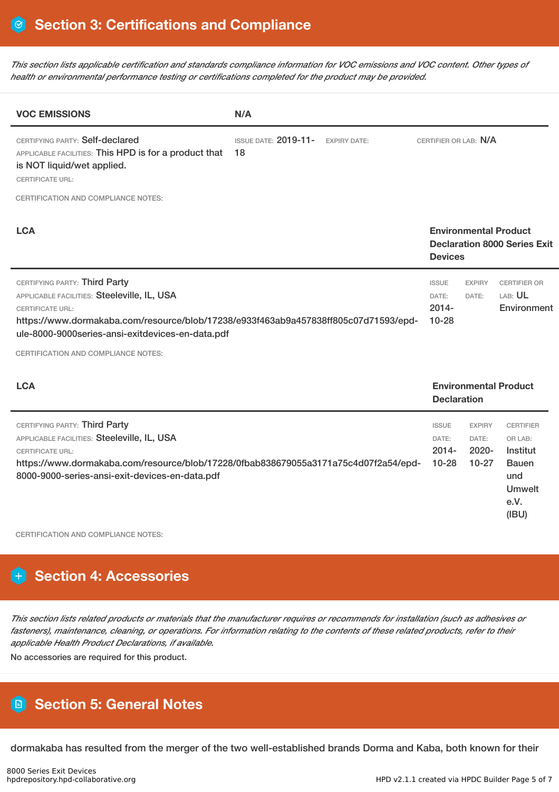This section lists applicable certification and standards compliance information for VOC emissions and VOC content. Other types of *health or environmental performance testing or certifications completed for the product may be provided.*

| <b>VOC EMISSIONS</b>                                                                                                                                                                                                                                                                      | N/A                                                      |                                                |                                               |                                                                                                  |
|-------------------------------------------------------------------------------------------------------------------------------------------------------------------------------------------------------------------------------------------------------------------------------------------|----------------------------------------------------------|------------------------------------------------|-----------------------------------------------|--------------------------------------------------------------------------------------------------|
| CERTIFYING PARTY: Self-declared<br>APPLICABLE FACILITIES: This HPD is for a product that<br>is NOT liquid/wet applied.<br><b>CERTIFICATE URL:</b>                                                                                                                                         | <b>ISSUE DATE: 2019-11-</b><br><b>EXPIRY DATE:</b><br>18 | CERTIFIER OR LAB: N/A                          |                                               |                                                                                                  |
| CERTIFICATION AND COMPLIANCE NOTES:                                                                                                                                                                                                                                                       |                                                          |                                                |                                               |                                                                                                  |
| <b>LCA</b>                                                                                                                                                                                                                                                                                |                                                          | <b>Devices</b>                                 | <b>Environmental Product</b>                  | <b>Declaration 8000 Series Exit</b>                                                              |
| CERTIFYING PARTY: Third Party<br>APPLICABLE FACILITIES: Steeleville, IL, USA<br><b>CERTIFICATE URL:</b><br>https://www.dormakaba.com/resource/blob/17238/e933f463ab9a457838ff805c07d71593/epd-<br>ule-8000-9000series-ansi-exitdevices-en-data.pdf<br>CERTIFICATION AND COMPLIANCE NOTES: |                                                          | <b>ISSUE</b><br>DATE:<br>$2014 -$<br>$10 - 28$ | <b>EXPIRY</b><br>DATE:                        | <b>CERTIFIER OR</b><br>LAB: UL<br>Environment                                                    |
| <b>LCA</b>                                                                                                                                                                                                                                                                                |                                                          | <b>Declaration</b>                             |                                               | <b>Environmental Product</b>                                                                     |
| CERTIFYING PARTY: Third Party<br>APPLICABLE FACILITIES: Steeleville, IL, USA<br><b>CERTIFICATE URL:</b><br>https://www.dormakaba.com/resource/blob/17228/0fbab838679055a3171a75c4d07f2a54/epd-<br>8000-9000-series-ansi-exit-devices-en-data.pdf                                          |                                                          | <b>ISSUE</b><br>DATE:<br>$2014 -$<br>$10 - 28$ | <b>EXPIRY</b><br>DATE:<br>$2020 -$<br>$10-27$ | <b>CERTIFIER</b><br>OR LAB:<br>Institut<br><b>Bauen</b><br>und<br><b>Umwelt</b><br>e.V.<br>(IBU) |

CERTIFICATION AND COMPLIANCE NOTES:

## **H** Section 4: Accessories

This section lists related products or materials that the manufacturer requires or recommends for installation (such as adhesives or fasteners), maintenance, cleaning, or operations. For information relating to the contents of these related products, refer to their *applicable Health Product Declarations, if available.*

No accessories are required for this product.

## **Section 5: General Notes**

dormakaba has resulted from the merger of the two well-established brands Dorma and Kaba, both known for their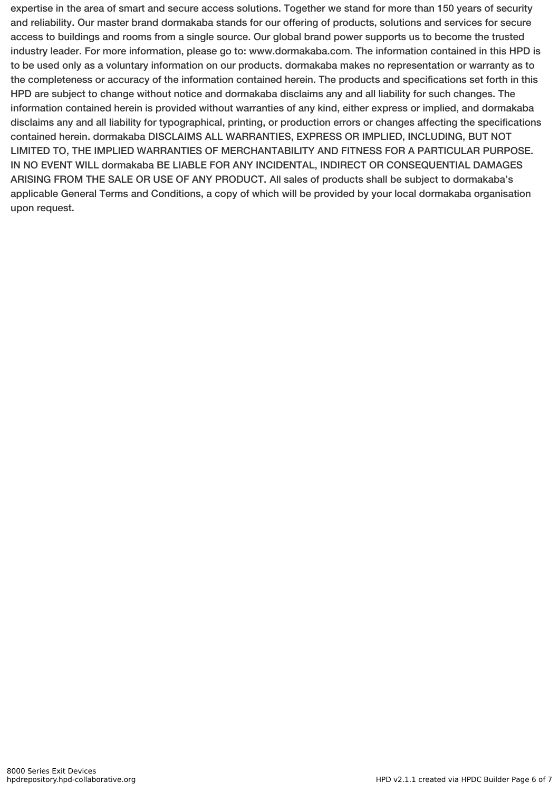expertise in the area of smart and secure access solutions. Together we stand for more than 150 years of security and reliability. Our master brand dormakaba stands for our offering of products, solutions and services for secure access to buildings and rooms from a single source. Our global brand power supports us to become the trusted industry leader. For more information, please go to: www.dormakaba.com. The information contained in this HPD is to be used only as a voluntary information on our products. dormakaba makes no representation or warranty as to the completeness or accuracy of the information contained herein. The products and specifications set forth in this HPD are subject to change without notice and dormakaba disclaims any and all liability for such changes. The information contained herein is provided without warranties of any kind, either express or implied, and dormakaba disclaims any and all liability for typographical, printing, or production errors or changes affecting the specifications contained herein. dormakaba DISCLAIMS ALL WARRANTIES, EXPRESS OR IMPLIED, INCLUDING, BUT NOT LIMITED TO, THE IMPLIED WARRANTIES OF MERCHANTABILITY AND FITNESS FOR A PARTICULAR PURPOSE. IN NO EVENT WILL dormakaba BE LIABLE FOR ANY INCIDENTAL, INDIRECT OR CONSEQUENTIAL DAMAGES ARISING FROM THE SALE OR USE OF ANY PRODUCT. All sales of products shall be subject to dormakaba's applicable General Terms and Conditions, a copy of which will be provided by your local dormakaba organisation upon request.